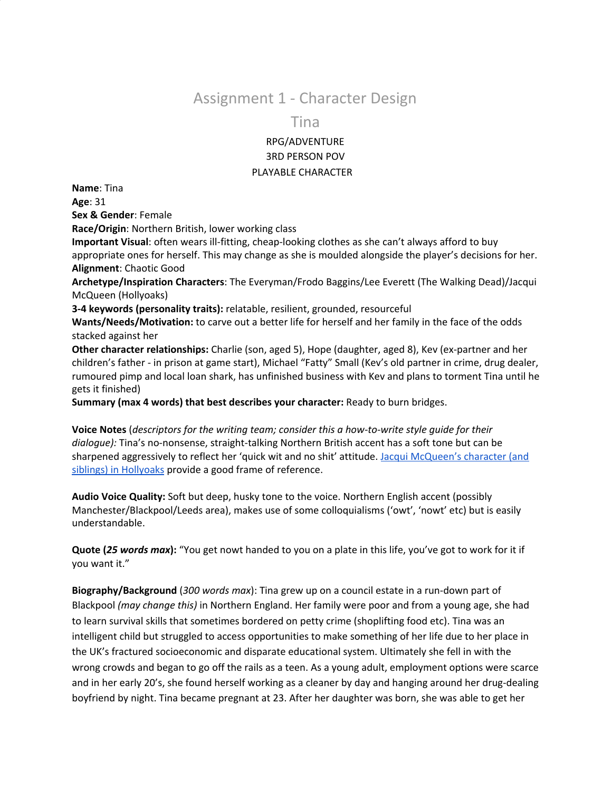## Assignment 1 - Character Design

**Tina** 

## RPG/ADVENTURE 3RD PERSON POV PLAYABLE CHARACTER

**Name**: Tina **Age**: 31 **Sex & Gender**: Female **Race/Origin**: Northern British, lower working class **Important Visual**: often wears ill-fitting, cheap-looking clothes as she can't always afford to buy appropriate ones for herself. This may change as she is moulded alongside the player's decisions for her. **Alignment**: Chaotic Good **Archetype/Inspiration Characters**: The Everyman/Frodo Baggins/Lee Everett (The Walking Dead)/Jacqui McQueen (Hollyoaks) **3-4 keywords (personality traits):** relatable, resilient, grounded, resourceful **Wants/Needs/Motivation:** to carve out a better life for herself and her family in the face of the odds stacked against her **Other character relationships:** Charlie (son, aged 5), Hope (daughter, aged 8), Kev (ex-partner and her children's father - in prison at game start), Michael "Fatty" Small (Kev's old partner in crime, drug dealer, rumoured pimp and local loan shark, has unfinished business with Kev and plans to torment Tina until he gets it finished)

**Summary (max 4 words) that best describes your character:** Ready to burn bridges.

**Voice Notes** (*descriptors for the writing team; consider this a how-to-write style guide for their dialogue):* Tina's no-nonsense, straight-talking Northern British accent has a soft tone but can be sharpened aggressively to reflect her 'quick wit and no shit' attitude. Jacqui [McQueen's](https://www.dailymotion.com/video/xp5tnx) character (and siblings) in [Hollyoaks](https://www.dailymotion.com/video/xp5tnx) provide a good frame of reference.

**Audio Voice Quality:** Soft but deep, husky tone to the voice. Northern English accent (possibly Manchester/Blackpool/Leeds area), makes use of some colloquialisms ('owt', 'nowt' etc) but is easily understandable.

**Quote (***25 words max***):** "You get nowt handed to you on a plate in this life, you've got to work for it if you want it."

**Biography/Background** (*300 words max*): Tina grew up on a council estate in a run-down part of Blackpool *(may change this)* in Northern England. Her family were poor and from a young age, she had to learn survival skills that sometimes bordered on petty crime (shoplifting food etc). Tina was an intelligent child but struggled to access opportunities to make something of her life due to her place in the UK's fractured socioeconomic and disparate educational system. Ultimately she fell in with the wrong crowds and began to go off the rails as a teen. As a young adult, employment options were scarce and in her early 20's, she found herself working as a cleaner by day and hanging around her drug-dealing boyfriend by night. Tina became pregnant at 23. After her daughter was born, she was able to get her